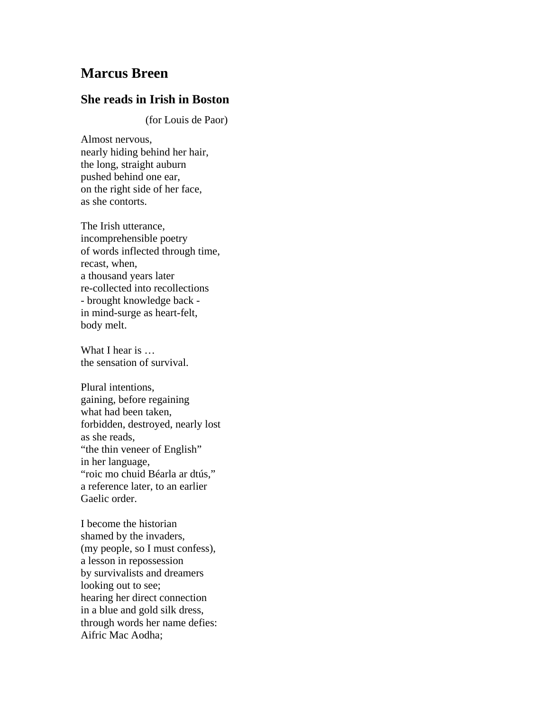## **Marcus Breen**

## **She reads in Irish in Boston**

(for Louis de Paor)

Almost nervous, nearly hiding behind her hair, the long, straight auburn pushed behind one ear, on the right side of her face, as she contorts.

The Irish utterance, incomprehensible poetry of words inflected through time, recast, when, a thousand years later re-collected into recollections - brought knowledge back in mind-surge as heart-felt, body melt.

What I hear is ... the sensation of survival.

Plural intentions, gaining, before regaining what had been taken, forbidden, destroyed, nearly lost as she reads, "the thin veneer of English" in her language, "roic mo chuid Béarla ar dtús," a reference later, to an earlier Gaelic order.

I become the historian shamed by the invaders, (my people, so I must confess), a lesson in repossession by survivalists and dreamers looking out to see; hearing her direct connection in a blue and gold silk dress, through words her name defies: Aifric Mac Aodha;